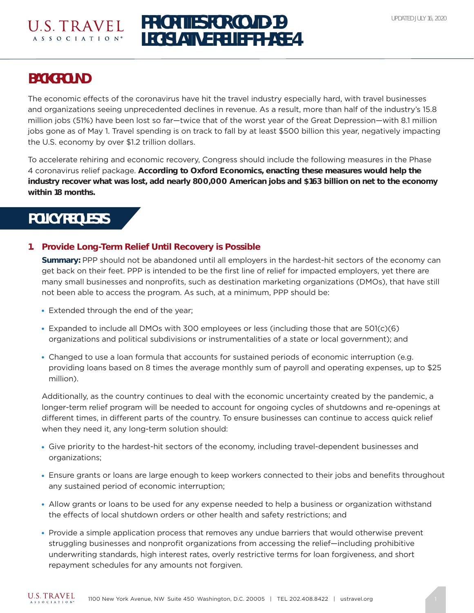### U.S. TRAVEL A S S O C I A T I O N<sup>®</sup>

# **PRIORITIES FOR COVID-19 LEGISLATIVE RELIEF PHASE 4**

## **BACKGROUND**

The economic effects of the coronavirus have hit the travel industry especially hard, with travel businesses and organizations seeing unprecedented declines in revenue. As a result, more than half of the industry's 15.8 million jobs (51%) have been lost so far—twice that of the worst year of the Great Depression—with 8.1 million jobs gone as of May 1. Travel spending is on track to fall by at least \$500 billion this year, negatively impacting the U.S. economy by over \$1.2 trillion dollars.

To accelerate rehiring and economic recovery, Congress should include the following measures in the Phase 4 coronavirus relief package. **According to Oxford Economics, enacting these measures would help the industry recover what was lost, add nearly 800,000 American jobs and \$163 billion on net to the economy within 18 months.**

## **POLICY REQUESTS**

#### **1. Provide Long-Term Relief Until Recovery is Possible**

**Summary:** PPP should not be abandoned until all employers in the hardest-hit sectors of the economy can get back on their feet. PPP is intended to be the first line of relief for impacted employers, yet there are many small businesses and nonprofits, such as destination marketing organizations (DMOs), that have still not been able to access the program. As such, at a minimum, PPP should be:

- Extended through the end of the year;
- $\bullet$  Expanded to include all DMOs with 300 employees or less (including those that are 501(c)(6) organizations and political subdivisions or instrumentalities of a state or local government); and
- Changed to use a loan formula that accounts for sustained periods of economic interruption (e.g. providing loans based on 8 times the average monthly sum of payroll and operating expenses, up to \$25 million).

Additionally, as the country continues to deal with the economic uncertainty created by the pandemic, a longer-term relief program will be needed to account for ongoing cycles of shutdowns and re-openings at different times, in different parts of the country. To ensure businesses can continue to access quick relief when they need it, any long-term solution should:

- Give priority to the hardest-hit sectors of the economy, including travel-dependent businesses and organizations;
- Ensure grants or loans are large enough to keep workers connected to their jobs and benefits throughout any sustained period of economic interruption;
- Allow grants or loans to be used for any expense needed to help a business or organization withstand the effects of local shutdown orders or other health and safety restrictions; and
- Provide a simple application process that removes any undue barriers that would otherwise prevent struggling businesses and nonprofit organizations from accessing the relief—including prohibitive underwriting standards, high interest rates, overly restrictive terms for loan forgiveness, and short repayment schedules for any amounts not forgiven.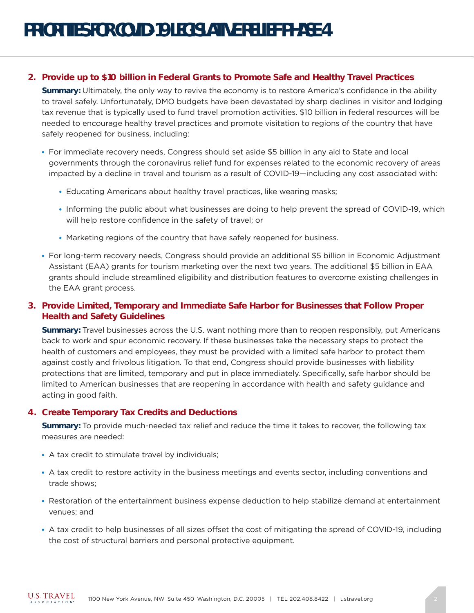#### **2. Provide up to \$10 billion in Federal Grants to Promote Safe and Healthy Travel Practices**

**Summary:** Ultimately, the only way to revive the economy is to restore America's confidence in the ability to travel safely. Unfortunately, DMO budgets have been devastated by sharp declines in visitor and lodging tax revenue that is typically used to fund travel promotion activities. \$10 billion in federal resources will be needed to encourage healthy travel practices and promote visitation to regions of the country that have safely reopened for business, including:

- For immediate recovery needs, Congress should set aside \$5 billion in any aid to State and local governments through the coronavirus relief fund for expenses related to the economic recovery of areas impacted by a decline in travel and tourism as a result of COVID-19—including any cost associated with:
	- Educating Americans about healthy travel practices, like wearing masks;
	- Informing the public about what businesses are doing to help prevent the spread of COVID-19, which will help restore confidence in the safety of travel; or
	- Marketing regions of the country that have safely reopened for business.
- For long-term recovery needs, Congress should provide an additional \$5 billion in Economic Adjustment Assistant (EAA) grants for tourism marketing over the next two years. The additional \$5 billion in EAA grants should include streamlined eligibility and distribution features to overcome existing challenges in the EAA grant process.

#### **3. Provide Limited, Temporary and Immediate Safe Harbor for Businesses that Follow Proper Health and Safety Guidelines**

**Summary:** Travel businesses across the U.S. want nothing more than to reopen responsibly, put Americans back to work and spur economic recovery. If these businesses take the necessary steps to protect the health of customers and employees, they must be provided with a limited safe harbor to protect them against costly and frivolous litigation. To that end, Congress should provide businesses with liability protections that are limited, temporary and put in place immediately. Specifically, safe harbor should be limited to American businesses that are reopening in accordance with health and safety guidance and acting in good faith.

#### **4. Create Temporary Tax Credits and Deductions**

**Summary:** To provide much-needed tax relief and reduce the time it takes to recover, the following tax measures are needed:

- A tax credit to stimulate travel by individuals;
- A tax credit to restore activity in the business meetings and events sector, including conventions and trade shows;
- Restoration of the entertainment business expense deduction to help stabilize demand at entertainment venues; and
- A tax credit to help businesses of all sizes offset the cost of mitigating the spread of COVID-19, including the cost of structural barriers and personal protective equipment.